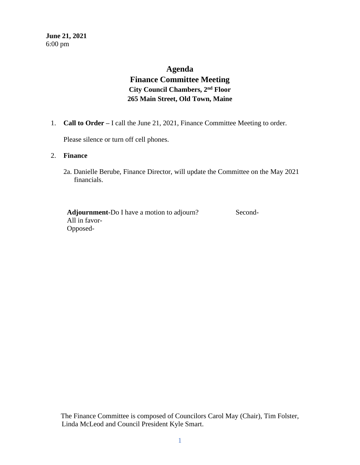# **Agenda**

# **Finance Committee Meeting City Council Chambers, 2nd Floor 265 Main Street, Old Town, Maine**

1. **Call to Order –** I call the June 21, 2021, Finance Committee Meeting to order.

Please silence or turn off cell phones.

# 2. **Finance**

2a. Danielle Berube, Finance Director, will update the Committee on the May 2021 financials.

Adjournment-Do I have a motion to adjourn? Second- All in favor- Opposed-

The Finance Committee is composed of Councilors Carol May (Chair), Tim Folster, Linda McLeod and Council President Kyle Smart.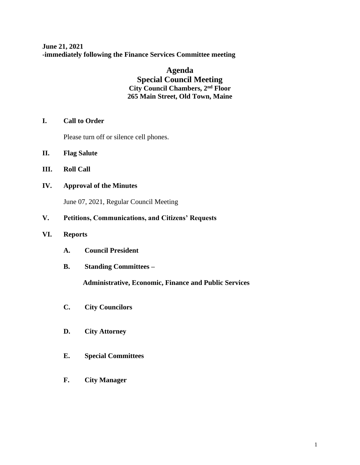**June 21, 2021 -immediately following the Finance Services Committee meeting**

> **Agenda Special Council Meeting City Council Chambers, 2nd Floor 265 Main Street, Old Town, Maine**

**I. Call to Order** 

Please turn off or silence cell phones.

- **II. Flag Salute**
- **III. Roll Call**
- **IV. Approval of the Minutes**

June 07, 2021, Regular Council Meeting

- **V. Petitions, Communications, and Citizens' Requests**
- **VI. Reports**
	- **A. Council President**
	- **B. Standing Committees –**

 **Administrative, Economic, Finance and Public Services**

- **C. City Councilors**
- **D. City Attorney**
- **E. Special Committees**
- **F. City Manager**